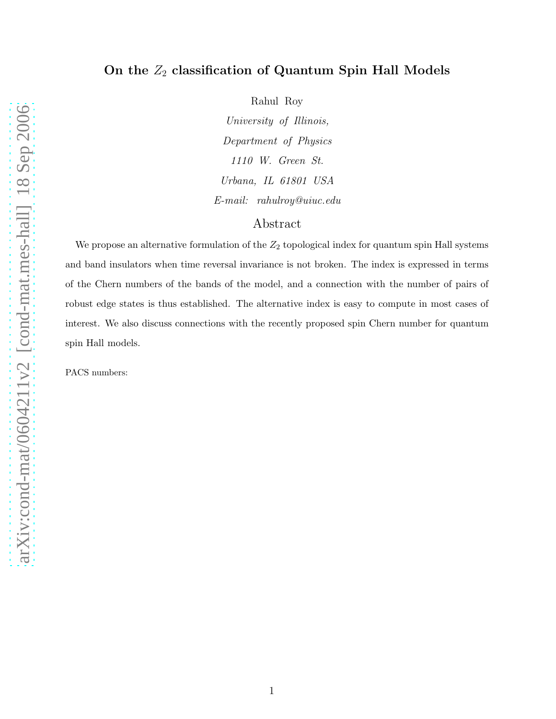## On the  $Z_2$  classification of Quantum Spin Hall Models

arXiv:cond-mat/0604211v2 [cond-mat.mes-hall] 18 Sep 2006 [arXiv:cond-mat/0604211v2 \[cond-mat.mes-hall\] 18 Sep 2006](http://arxiv.org/abs/cond-mat/0604211v2) Rahul Roy

*University of Illinois, Department of Physics 1110 W. Green St. Urbana, IL 61801 USA E-mail: rahulroy@uiuc.edu*

## Abstract

We propose an alternative formulation of the  $Z_2$  topological index for quantum spin Hall systems and band insulators when time reversal invariance is not broken. The index is expressed in terms of the Chern numbers of the bands of the model, and a connection with the number of pairs of robust edge states is thus established. The alternative index is easy to compute in most cases of interest. We also discuss connections with the recently proposed spin Chern number for quantum spin Hall models.

PACS numbers: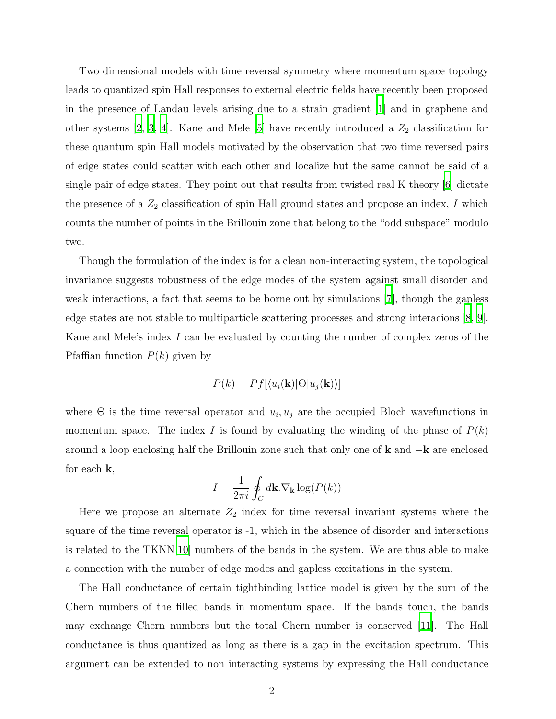Two dimensional models with time reversal symmetry where momentum space topology leads to quantized spin Hall responses to external electric fields have recently been proposed in the presence of Landau levels arising due to a strain gradient [\[1](#page-5-0)] and in graphene and other systems [\[2](#page-5-1), [3,](#page-5-2) [4](#page-5-3)]. Kane and Mele [\[5\]](#page-6-0) have recently introduced a  $Z_2$  classification for these quantum spin Hall models motivated by the observation that two time reversed pairs of edge states could scatter with each other and localize but the same cannot be said of a single pair of edge states. They point out that results from twisted real K theory [\[6](#page-6-1)] dictate the presence of a  $Z_2$  classification of spin Hall ground states and propose an index, I which counts the number of points in the Brillouin zone that belong to the "odd subspace" modulo two.

Though the formulation of the index is for a clean non-interacting system, the topological invariance suggests robustness of the edge modes of the system against small disorder and weak interactions, a fact that seems to be borne out by simulations [\[7\]](#page-6-2), though the gapless edge states are not stable to multiparticle scattering processes and strong interacions [\[8,](#page-6-3) [9\]](#page-6-4). Kane and Mele's index  $I$  can be evaluated by counting the number of complex zeros of the Pfaffian function  $P(k)$  given by

$$
P(k) = Pf[\langle u_i(\mathbf{k}) | \Theta | u_j(\mathbf{k}) \rangle]
$$

where  $\Theta$  is the time reversal operator and  $u_i, u_j$  are the occupied Bloch wavefunctions in momentum space. The index I is found by evaluating the winding of the phase of  $P(k)$ around a loop enclosing half the Brillouin zone such that only one of **k** and  $-k$  are enclosed for each  $k$ ,

$$
I = \frac{1}{2\pi i} \oint_C d\mathbf{k} . \nabla_\mathbf{k} \log(P(k))
$$

Here we propose an alternate  $Z_2$  index for time reversal invariant systems where the square of the time reversal operator is -1, which in the absence of disorder and interactions is related to the TKNN[\[10](#page-6-5)] numbers of the bands in the system. We are thus able to make a connection with the number of edge modes and gapless excitations in the system.

The Hall conductance of certain tightbinding lattice model is given by the sum of the Chern numbers of the filled bands in momentum space. If the bands touch, the bands may exchange Chern numbers but the total Chern number is conserved [\[11\]](#page-6-6). The Hall conductance is thus quantized as long as there is a gap in the excitation spectrum. This argument can be extended to non interacting systems by expressing the Hall conductance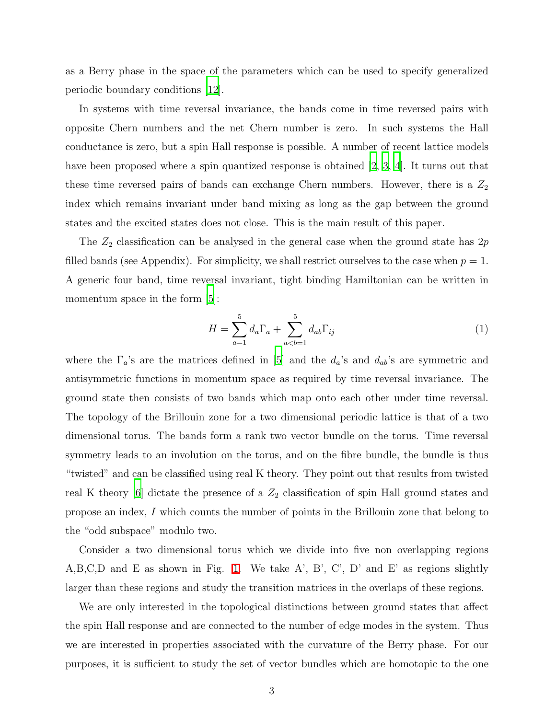as a Berry phase in the space of the parameters which can be used to specify generalized periodic boundary conditions [\[12\]](#page-6-7).

In systems with time reversal invariance, the bands come in time reversed pairs with opposite Chern numbers and the net Chern number is zero. In such systems the Hall conductance is zero, but a spin Hall response is possible. A number of recent lattice models have been proposed where a spin quantized response is obtained [\[2,](#page-5-1) [3,](#page-5-2) [4\]](#page-5-3). It turns out that these time reversed pairs of bands can exchange Chern numbers. However, there is a  $Z_2$ index which remains invariant under band mixing as long as the gap between the ground states and the excited states does not close. This is the main result of this paper.

The  $Z_2$  classification can be analysed in the general case when the ground state has  $2p$ filled bands (see Appendix). For simplicity, we shall restrict ourselves to the case when  $p = 1$ . A generic four band, time reversal invariant, tight binding Hamiltonian can be written in momentum space in the form  $[5]$ :

$$
H = \sum_{a=1}^{5} d_a \Gamma_a + \sum_{a (1)
$$

where the  $\Gamma_a$ 's are the matrices defined in [\[5](#page-6-0)] and the  $d_a$ 's and  $d_{ab}$ 's are symmetric and antisymmetric functions in momentum space as required by time reversal invariance. The ground state then consists of two bands which map onto each other under time reversal. The topology of the Brillouin zone for a two dimensional periodic lattice is that of a two dimensional torus. The bands form a rank two vector bundle on the torus. Time reversal symmetry leads to an involution on the torus, and on the fibre bundle, the bundle is thus "twisted" and can be classified using real K theory. They point out that results from twisted real K theory  $[6]$  dictate the presence of a  $Z_2$  classification of spin Hall ground states and propose an index, I which counts the number of points in the Brillouin zone that belong to the "odd subspace" modulo two.

Consider a two dimensional torus which we divide into five non overlapping regions A,B,C,D and E as shown in Fig. [1.](#page-3-0) We take A', B', C', D' and E' as regions slightly larger than these regions and study the transition matrices in the overlaps of these regions.

We are only interested in the topological distinctions between ground states that affect the spin Hall response and are connected to the number of edge modes in the system. Thus we are interested in properties associated with the curvature of the Berry phase. For our purposes, it is sufficient to study the set of vector bundles which are homotopic to the one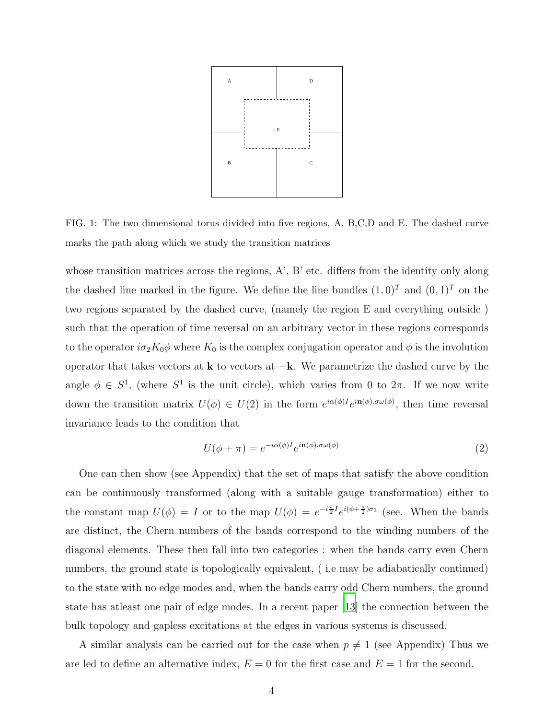

<span id="page-3-0"></span>FIG. 1: The two dimensional torus divided into five regions, A, B,C,D and E. The dashed curve marks the path along which we study the transition matrices

whose transition matrices across the regions, A', B' etc. differs from the identity only along the dashed line marked in the figure. We define the line bundles  $(1,0)^T$  and  $(0,1)^T$  on the two regions separated by the dashed curve, (namely the region E and everything outside ) such that the operation of time reversal on an arbitrary vector in these regions corresponds to the operator  $i\sigma_2 K_0 \phi$  where  $K_0$  is the complex conjugation operator and  $\phi$  is the involution operator that takes vectors at  $k$  to vectors at  $-k$ . We parametrize the dashed curve by the angle  $\phi \in S^1$ , (where  $S^1$  is the unit circle), which varies from 0 to  $2\pi$ . If we now write down the transition matrix  $U(\phi) \in U(2)$  in the form  $e^{i\alpha(\phi)I}e^{i\mathbf{n}(\phi).\sigma\omega(\phi)}$ , then time reversal invariance leads to the condition that

<span id="page-3-1"></span>
$$
U(\phi + \pi) = e^{-i\alpha(\phi)I} e^{i\mathbf{n}(\phi)\cdot\sigma\omega(\phi)}
$$
\n(2)

One can then show (see Appendix) that the set of maps that satisfy the above condition can be continuously transformed (along with a suitable gauge transformation) either to the constant map  $U(\phi) = I$  or to the map  $U(\phi) = e^{-i\frac{\pi}{2}I}e^{i(\phi + \frac{\pi}{2})\sigma_3}$  (see. When the bands are distinct, the Chern numbers of the bands correspond to the winding numbers of the diagonal elements. These then fall into two categories : when the bands carry even Chern numbers, the ground state is topologically equivalent, (i.e may be adiabatically continued) to the state with no edge modes and, when the bands carry odd Chern numbers, the ground state has atleast one pair of edge modes. In a recent paper [\[13](#page-6-8)] the connection between the bulk topology and gapless excitations at the edges in various systems is discussed.

A similar analysis can be carried out for the case when  $p \neq 1$  (see Appendix) Thus we are led to define an alternative index,  $E = 0$  for the first case and  $E = 1$  for the second.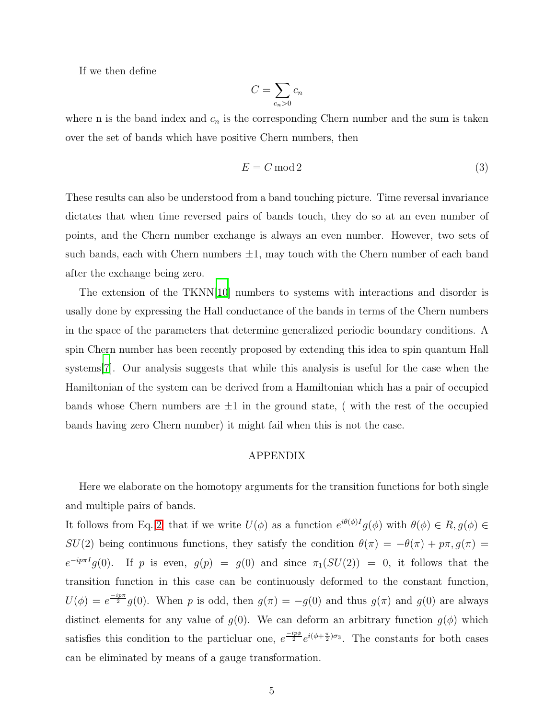If we then define

$$
C = \sum_{c_n > 0} c_n
$$

where n is the band index and  $c_n$  is the corresponding Chern number and the sum is taken over the set of bands which have positive Chern numbers, then

$$
E = C \mod 2 \tag{3}
$$

These results can also be understood from a band touching picture. Time reversal invariance dictates that when time reversed pairs of bands touch, they do so at an even number of points, and the Chern number exchange is always an even number. However, two sets of such bands, each with Chern numbers  $\pm 1$ , may touch with the Chern number of each band after the exchange being zero.

The extension of the TKNN[\[10](#page-6-5)] numbers to systems with interactions and disorder is usally done by expressing the Hall conductance of the bands in terms of the Chern numbers in the space of the parameters that determine generalized periodic boundary conditions. A spin Chern number has been recently proposed by extending this idea to spin quantum Hall systems[\[7](#page-6-2)]. Our analysis suggests that while this analysis is useful for the case when the Hamiltonian of the system can be derived from a Hamiltonian which has a pair of occupied bands whose Chern numbers are  $\pm 1$  in the ground state, (with the rest of the occupied bands having zero Chern number) it might fail when this is not the case.

## APPENDIX

Here we elaborate on the homotopy arguments for the transition functions for both single and multiple pairs of bands.

It follows from Eq.[\[2\]](#page-3-1) that if we write  $U(\phi)$  as a function  $e^{i\theta(\phi)I}g(\phi)$  with  $\theta(\phi) \in R$ ,  $g(\phi) \in$ SU(2) being continuous functions, they satisfy the condition  $\theta(\pi) = -\theta(\pi) + p\pi$ ,  $g(\pi) =$  $e^{-ip\pi I}g(0)$ . If p is even,  $g(p) = g(0)$  and since  $\pi_1(SU(2)) = 0$ , it follows that the transition function in this case can be continuously deformed to the constant function,  $U(\phi) = e^{\frac{-ip\pi}{2}}g(0)$ . When p is odd, then  $g(\pi) = -g(0)$  and thus  $g(\pi)$  and  $g(0)$  are always distinct elements for any value of  $g(0)$ . We can deform an arbitrary function  $g(\phi)$  which satisfies this condition to the particluar one,  $e^{\frac{-ip\phi}{2}}e^{i(\phi+\frac{\pi}{2})\sigma_3}$ . The constants for both cases can be eliminated by means of a gauge transformation.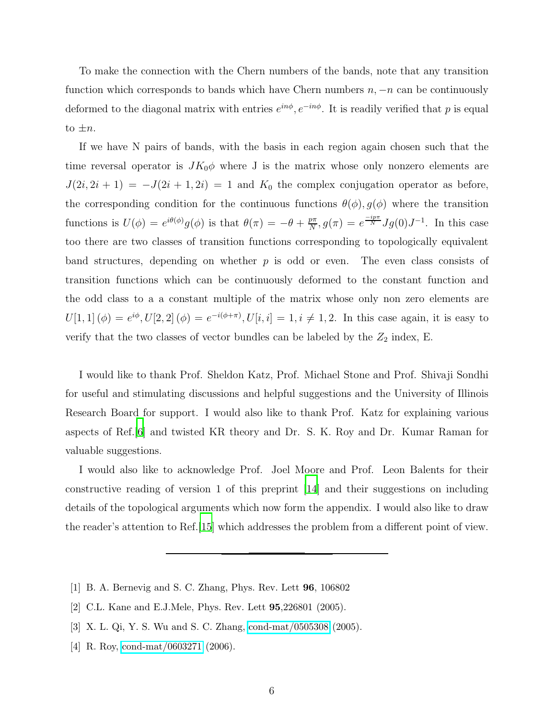To make the connection with the Chern numbers of the bands, note that any transition function which corresponds to bands which have Chern numbers  $n, -n$  can be continuously deformed to the diagonal matrix with entries  $e^{in\phi}$ ,  $e^{-in\phi}$ . It is readily verified that p is equal to  $\pm n$ .

If we have N pairs of bands, with the basis in each region again chosen such that the time reversal operator is  $JK_0\phi$  where J is the matrix whose only nonzero elements are  $J(2i, 2i + 1) = -J(2i + 1, 2i) = 1$  and  $K_0$  the complex conjugation operator as before, the corresponding condition for the continuous functions  $\theta(\phi)$ ,  $g(\phi)$  where the transition functions is  $U(\phi) = e^{i\theta(\phi)}g(\phi)$  is that  $\theta(\pi) = -\theta + \frac{p\pi}{N}$  $\frac{p\pi}{N}$ ,  $g(\pi) = e^{\frac{-ip\pi}{N}} Jg(0)J^{-1}$ . In this case too there are two classes of transition functions corresponding to topologically equivalent band structures, depending on whether  $p$  is odd or even. The even class consists of transition functions which can be continuously deformed to the constant function and the odd class to a a constant multiple of the matrix whose only non zero elements are  $U[1,1](\phi) = e^{i\phi}, U[2,2](\phi) = e^{-i(\phi+\pi)}, U[i,i] = 1, i \neq 1,2$ . In this case again, it is easy to verify that the two classes of vector bundles can be labeled by the  $Z_2$  index, E.

I would like to thank Prof. Sheldon Katz, Prof. Michael Stone and Prof. Shivaji Sondhi for useful and stimulating discussions and helpful suggestions and the University of Illinois Research Board for support. I would also like to thank Prof. Katz for explaining various aspects of Ref.[\[6](#page-6-1)] and twisted KR theory and Dr. S. K. Roy and Dr. Kumar Raman for valuable suggestions.

I would also like to acknowledge Prof. Joel Moore and Prof. Leon Balents for their constructive reading of version 1 of this preprint [\[14](#page-6-9)] and their suggestions on including details of the topological arguments which now form the appendix. I would also like to draw the reader's attention to Ref.[\[15](#page-6-10)] which addresses the problem from a different point of view.

- <span id="page-5-0"></span>[1] B. A. Bernevig and S. C. Zhang, Phys. Rev. Lett 96, 106802
- <span id="page-5-1"></span>[2] C.L. Kane and E.J.Mele, Phys. Rev. Lett 95,226801 (2005).
- <span id="page-5-2"></span>[3] X. L. Qi, Y. S. Wu and S. C. Zhang, [cond-mat/0505308](http://arxiv.org/abs/cond-mat/0505308) (2005).
- <span id="page-5-3"></span>[4] R. Roy, [cond-mat/0603271](http://arxiv.org/abs/cond-mat/0603271) (2006).